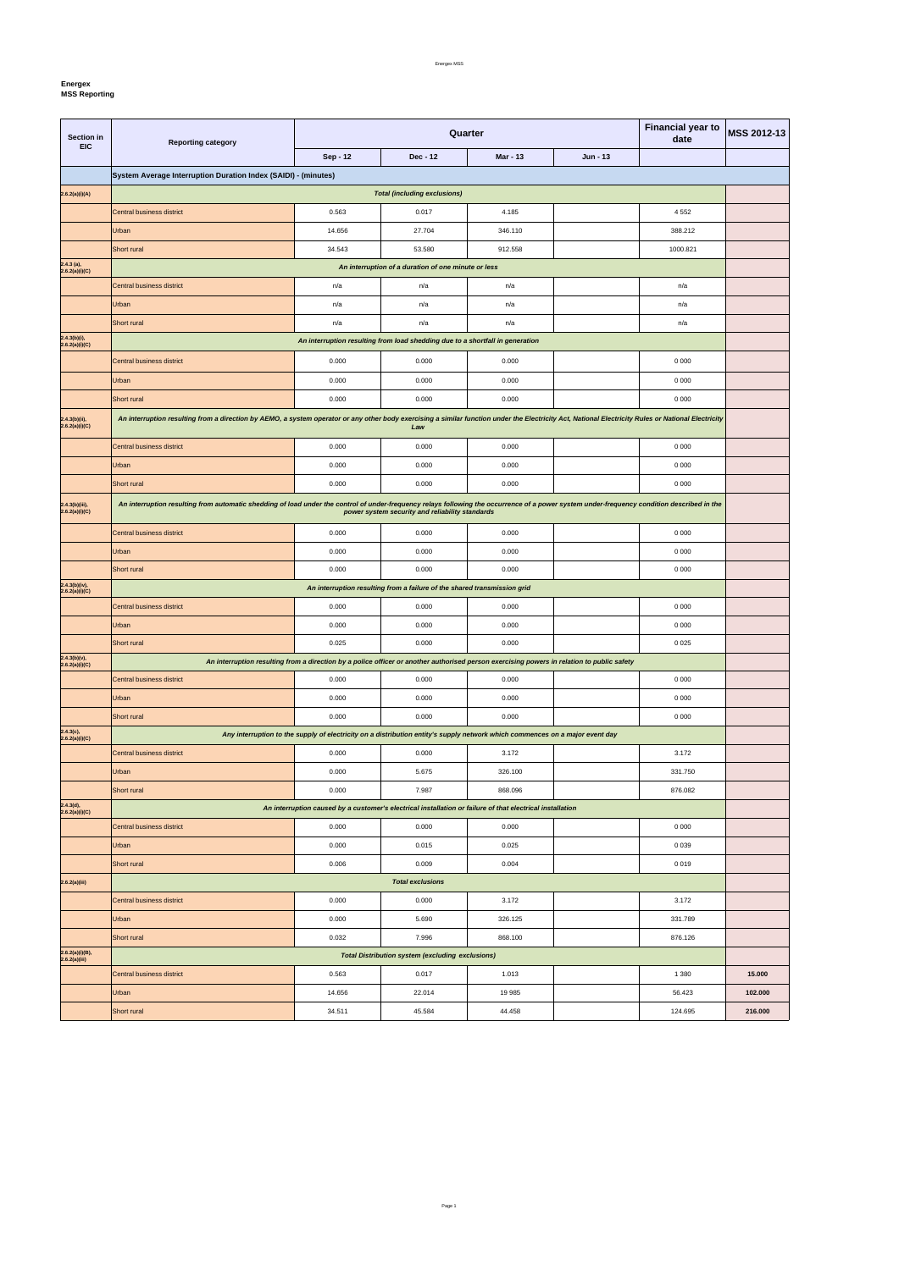**Energex**

| <b>Section in</b><br><b>EIC</b>  | <b>Financial year to</b><br>Quarter<br>date<br><b>Reporting category</b>                                                                                                                            |                                                                                                                              |                                                                               |                 |          |          | <b>MSS 2012-13</b> |  |
|----------------------------------|-----------------------------------------------------------------------------------------------------------------------------------------------------------------------------------------------------|------------------------------------------------------------------------------------------------------------------------------|-------------------------------------------------------------------------------|-----------------|----------|----------|--------------------|--|
|                                  |                                                                                                                                                                                                     | Sep - 12                                                                                                                     | Dec - 12                                                                      | <b>Mar - 13</b> | Jun - 13 |          |                    |  |
|                                  | System Average Interruption Duration Index (SAIDI) - (minutes)                                                                                                                                      |                                                                                                                              |                                                                               |                 |          |          |                    |  |
| 2.6.2(a)(i)(A)                   |                                                                                                                                                                                                     |                                                                                                                              | <b>Total (including exclusions)</b>                                           |                 |          |          |                    |  |
|                                  | Central business district                                                                                                                                                                           | 0.563                                                                                                                        | 0.017                                                                         | 4.185           |          | 4 5 5 2  |                    |  |
|                                  | Urban                                                                                                                                                                                               | 14.656                                                                                                                       | 27.704                                                                        | 346.110         |          | 388.212  |                    |  |
|                                  | Short rural                                                                                                                                                                                         | 34.543                                                                                                                       | 53.580                                                                        | 912.558         |          | 1000.821 |                    |  |
| 2.4.3 (a),<br>2.6.2(a)(i)(C)     |                                                                                                                                                                                                     |                                                                                                                              | An interruption of a duration of one minute or less                           |                 |          |          |                    |  |
|                                  | Central business district                                                                                                                                                                           | n/a                                                                                                                          | n/a                                                                           | n/a             |          | n/a      |                    |  |
|                                  | Urban                                                                                                                                                                                               | n/a                                                                                                                          | n/a                                                                           | n/a             |          | n/a      |                    |  |
|                                  | Short rural                                                                                                                                                                                         | n/a                                                                                                                          | n/a                                                                           | n/a             |          | n/a      |                    |  |
| 2.4.3(b)(i),<br>2.6.2(a)(i)(C)   |                                                                                                                                                                                                     |                                                                                                                              | An interruption resulting from load shedding due to a shortfall in generation |                 |          |          |                    |  |
|                                  | Central business district                                                                                                                                                                           | 0.000                                                                                                                        | 0.000                                                                         | 0.000           |          | 0 0 0 0  |                    |  |
|                                  | Urban                                                                                                                                                                                               | 0.000                                                                                                                        | 0.000                                                                         | 0.000           |          | 0 0 0 0  |                    |  |
|                                  | Short rural                                                                                                                                                                                         | 0.000                                                                                                                        | 0.000                                                                         | 0.000           |          | 0 0 0 0  |                    |  |
| 2.4.3(b)(ii),                    | An interruption resulting from a direction by AEMO, a system operator or any other body exercising a similar function under the Electricity Act, National Electricity Rules or National Electricity |                                                                                                                              |                                                                               |                 |          |          |                    |  |
| 2.6.2(a)(i)(C)                   |                                                                                                                                                                                                     |                                                                                                                              | Law                                                                           |                 |          |          |                    |  |
|                                  | Central business district                                                                                                                                                                           | 0.000                                                                                                                        | 0.000                                                                         | 0.000           |          | 0 0 0 0  |                    |  |
|                                  | Urban                                                                                                                                                                                               | 0.000                                                                                                                        | 0.000                                                                         | 0.000           |          | 0 0 0 0  |                    |  |
|                                  | Short rural                                                                                                                                                                                         | 0.000                                                                                                                        | 0.000                                                                         | 0.000           |          | 0 0 0 0  |                    |  |
| 2.4.3(b)(iii),<br>2.6.2(a)(i)(C) | An interruption resulting from automatic shedding of load under the control of under-frequency relays following the occurrence of a power system under-frequency condition described in the         |                                                                                                                              | power system security and reliability standards                               |                 |          |          |                    |  |
|                                  | Central business district                                                                                                                                                                           | 0.000                                                                                                                        | 0.000                                                                         | 0.000           |          | 0 0 0 0  |                    |  |
|                                  | Urban                                                                                                                                                                                               | 0.000                                                                                                                        | 0.000                                                                         | 0.000           |          | 0 0 0 0  |                    |  |
|                                  | Short rural                                                                                                                                                                                         | 0.000                                                                                                                        | 0.000                                                                         | 0.000           |          | 0 0 0 0  |                    |  |
| 2.4.3(b)(iv),<br>2.6.2(a)(i)(C)  |                                                                                                                                                                                                     |                                                                                                                              | An interruption resulting from a failure of the shared transmission grid      |                 |          |          |                    |  |
|                                  | Central business district                                                                                                                                                                           | 0.000                                                                                                                        | 0.000                                                                         | 0.000           |          | 0 0 0 0  |                    |  |
|                                  | Urban                                                                                                                                                                                               | 0.000                                                                                                                        | 0.000                                                                         | 0.000           |          | 0 0 0 0  |                    |  |
|                                  | Short rural                                                                                                                                                                                         | 0.025                                                                                                                        | 0.000                                                                         | 0.000           |          | 0 0 2 5  |                    |  |
| 2.4.3(b)(v),<br>2.6.2(a)(i)(C)   | An interruption resulting from a direction by a police officer or another authorised person exercising powers in relation to public safety                                                          |                                                                                                                              |                                                                               |                 |          |          |                    |  |
|                                  | Central business district                                                                                                                                                                           | 0.000                                                                                                                        | 0.000                                                                         | 0.000           |          | 0 0 0 0  |                    |  |
|                                  | Urban                                                                                                                                                                                               | 0.000                                                                                                                        | 0.000                                                                         | 0.000           |          | 0 0 0 0  |                    |  |
|                                  | Short rural                                                                                                                                                                                         | 0.000                                                                                                                        | 0.000                                                                         | 0.000           |          | 0 0 0 0  |                    |  |
| 2.4.3(c),<br>2.6.2(a)(i)(C)      |                                                                                                                                                                                                     | Any interruption to the supply of electricity on a distribution entity's supply network which commences on a major event day |                                                                               |                 |          |          |                    |  |
|                                  | Central business district                                                                                                                                                                           | 0.000                                                                                                                        | 0.000                                                                         | 3.172           |          | 3.172    |                    |  |
|                                  | Urban                                                                                                                                                                                               | 0.000                                                                                                                        | 5.675                                                                         | 326.100         |          | 331.750  |                    |  |
|                                  | Short rural                                                                                                                                                                                         | 0.000                                                                                                                        | 7.987                                                                         | 868.096         |          | 876.082  |                    |  |
| 2.4.3(d),<br>2.6.2(a)(i)(C)      |                                                                                                                                                                                                     | An interruption caused by a customer's electrical installation or failure of that electrical installation                    |                                                                               |                 |          |          |                    |  |
|                                  | Central business district                                                                                                                                                                           | 0.000                                                                                                                        | 0.000                                                                         | 0.000           |          | 0 0 0 0  |                    |  |
|                                  | Urban                                                                                                                                                                                               | 0.000                                                                                                                        | 0.015                                                                         | 0.025           |          | 0 0 3 9  |                    |  |
|                                  | Short rural                                                                                                                                                                                         | 0.006                                                                                                                        | 0.009                                                                         | 0.004           |          | 0019     |                    |  |
| 2.6.2(a)(iii)                    |                                                                                                                                                                                                     |                                                                                                                              | <b>Total exclusions</b>                                                       |                 |          |          |                    |  |
|                                  | Central business district                                                                                                                                                                           | 0.000                                                                                                                        | 0.000                                                                         | 3.172           |          | 3.172    |                    |  |
|                                  | Urban                                                                                                                                                                                               | 0.000                                                                                                                        | 5.690                                                                         | 326.125         |          | 331.789  |                    |  |
|                                  | Short rural                                                                                                                                                                                         | 0.032                                                                                                                        | 7.996                                                                         | 868.100         |          | 876.126  |                    |  |
| 2.6.2(a)(i)(B),<br>2.6.2(a)(iii) |                                                                                                                                                                                                     |                                                                                                                              | <b>Total Distribution system (excluding exclusions)</b>                       |                 |          |          |                    |  |
|                                  | Central business district                                                                                                                                                                           | 0.563                                                                                                                        | 0.017                                                                         | 1.013           |          | 1 3 8 0  | 15.000             |  |
|                                  | Urban                                                                                                                                                                                               | 14.656                                                                                                                       | 22.014                                                                        | 19 985          |          | 56.423   | 102.000            |  |
|                                  | Short rural                                                                                                                                                                                         | 34.511                                                                                                                       | 45.584                                                                        | 44.458          |          | 124.695  | 216.000            |  |

Page 1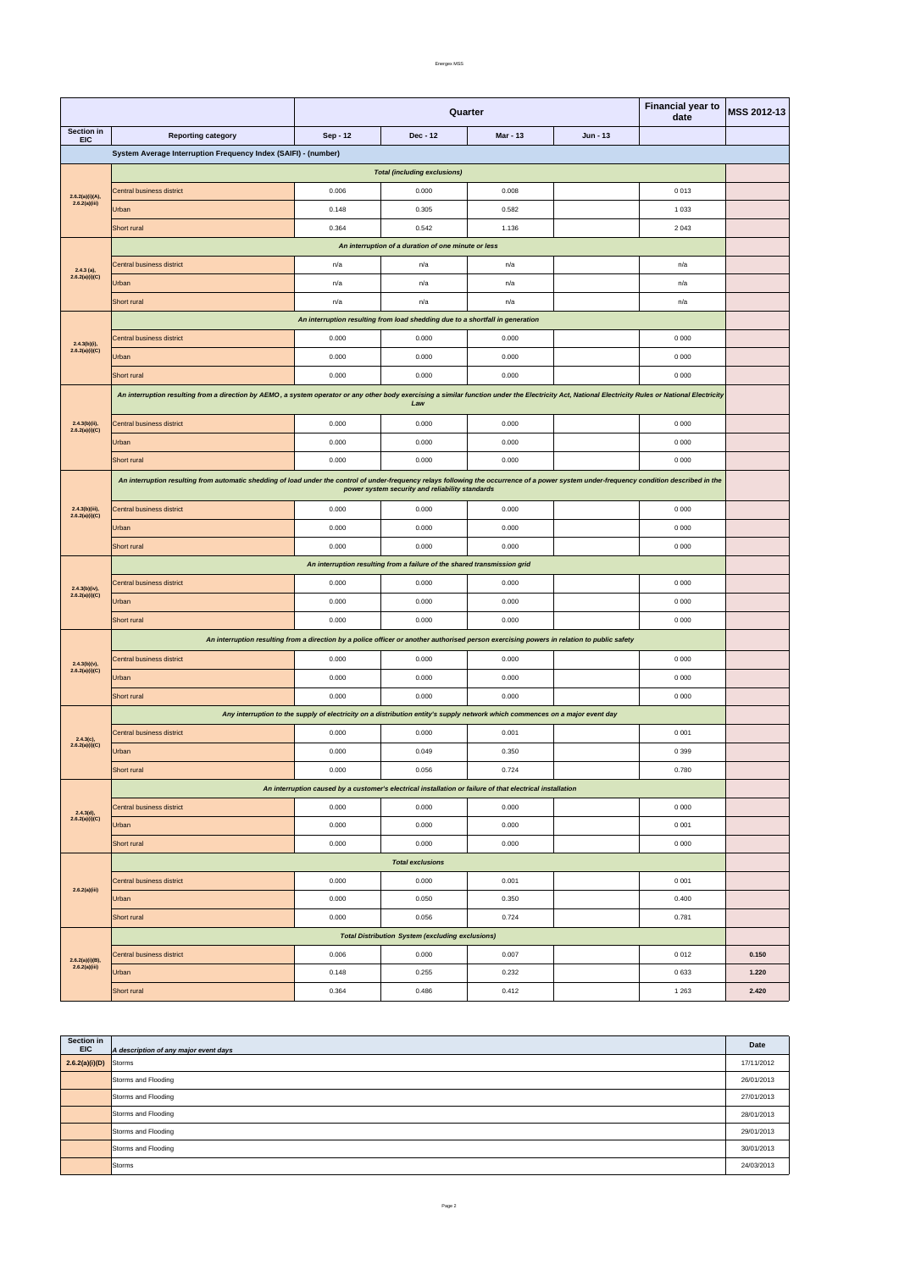Energex MSS

|                                                                                                                                                                                                                                                                                                                                               |                                                                                                                                                                                                                                                | <b>Financial year to</b><br><b>MSS 2012-13</b><br>Quarter<br>date                                                                          |                                                                               |                 |          |                                                                                                                                                                                                                                                                                             |       |  |
|-----------------------------------------------------------------------------------------------------------------------------------------------------------------------------------------------------------------------------------------------------------------------------------------------------------------------------------------------|------------------------------------------------------------------------------------------------------------------------------------------------------------------------------------------------------------------------------------------------|--------------------------------------------------------------------------------------------------------------------------------------------|-------------------------------------------------------------------------------|-----------------|----------|---------------------------------------------------------------------------------------------------------------------------------------------------------------------------------------------------------------------------------------------------------------------------------------------|-------|--|
| Section in                                                                                                                                                                                                                                                                                                                                    | <b>Reporting category</b>                                                                                                                                                                                                                      | Sep - 12                                                                                                                                   | Dec - 12                                                                      | <b>Mar - 13</b> | Jun - 13 |                                                                                                                                                                                                                                                                                             |       |  |
|                                                                                                                                                                                                                                                                                                                                               | System Average Interruption Frequency Index (SAIFI) - (number)                                                                                                                                                                                 |                                                                                                                                            |                                                                               |                 |          |                                                                                                                                                                                                                                                                                             |       |  |
|                                                                                                                                                                                                                                                                                                                                               |                                                                                                                                                                                                                                                |                                                                                                                                            | <b>Total (including exclusions)</b>                                           |                 |          |                                                                                                                                                                                                                                                                                             |       |  |
| <b>EIC</b><br>2.6.2(a)(i)(A),<br>2.6.2(a)(iii)<br>$2.4.3$ (a),<br>2.6.2(a)(i)(C)<br>$2.4.3(b)(i)$ ,<br>2.6.2(a)(i)(C)<br>2.4.3(b)(ii),<br>2.6.2(a)(i)(C)<br>$2.4.3(b)(iii)$ ,<br>2.6.2(a)(i)(C)<br>$2.4.3(b)(iv),$<br>$2.6.2(a)(i)(C)$<br>$2.4.3(b)(v)$ ,<br>2.6.2(a)(i)(C)<br>$2.4.3(c),$<br>$2.6.2(a)(i)(C)$<br>2.4.3(d),<br>2.6.2(a)(i)(C) | Central business district                                                                                                                                                                                                                      | 0.006                                                                                                                                      | 0.000                                                                         | 0.008           |          | 0013                                                                                                                                                                                                                                                                                        |       |  |
|                                                                                                                                                                                                                                                                                                                                               | Urban                                                                                                                                                                                                                                          | 0.148                                                                                                                                      | 0.305                                                                         | 0.582           |          | 1 0 3 3                                                                                                                                                                                                                                                                                     |       |  |
|                                                                                                                                                                                                                                                                                                                                               | Short rural                                                                                                                                                                                                                                    | 0.364                                                                                                                                      | 0.542                                                                         | 1.136           |          | 2 0 4 3<br>n/a<br>n/a<br>n/a<br>0 0 0 0<br>0 0 0 0<br>0 0 0 0<br>0 0 0 0<br>0 0 0 0<br>0 0 0 0<br>0 0 0 0<br>0 0 0 0<br>0 0 0 0<br>0 0 0 0<br>0 0 0 0<br>0 0 0 0<br>0 0 0 0<br>0 0 0 0<br>0 0 0 0<br>0 0 0 1<br>0399<br>0.780<br>0 0 0 0<br>0 0 0 1<br>0 0 0 0<br>0 0 0 1<br>0.400<br>0.781 |       |  |
|                                                                                                                                                                                                                                                                                                                                               |                                                                                                                                                                                                                                                |                                                                                                                                            | An interruption of a duration of one minute or less                           |                 |          |                                                                                                                                                                                                                                                                                             |       |  |
|                                                                                                                                                                                                                                                                                                                                               | <b>Central business district</b>                                                                                                                                                                                                               | n/a                                                                                                                                        | n/a                                                                           | n/a             |          |                                                                                                                                                                                                                                                                                             |       |  |
|                                                                                                                                                                                                                                                                                                                                               | Urban                                                                                                                                                                                                                                          | n/a                                                                                                                                        | n/a                                                                           | n/a             |          |                                                                                                                                                                                                                                                                                             |       |  |
|                                                                                                                                                                                                                                                                                                                                               | <b>Short rural</b>                                                                                                                                                                                                                             | n/a                                                                                                                                        | n/a                                                                           | n/a             |          | 0012                                                                                                                                                                                                                                                                                        |       |  |
|                                                                                                                                                                                                                                                                                                                                               |                                                                                                                                                                                                                                                |                                                                                                                                            | An interruption resulting from load shedding due to a shortfall in generation |                 |          |                                                                                                                                                                                                                                                                                             |       |  |
|                                                                                                                                                                                                                                                                                                                                               | Central business district                                                                                                                                                                                                                      | 0.000                                                                                                                                      | 0.000                                                                         | 0.000           |          |                                                                                                                                                                                                                                                                                             |       |  |
|                                                                                                                                                                                                                                                                                                                                               | Urban                                                                                                                                                                                                                                          | 0.000                                                                                                                                      | 0.000                                                                         | 0.000           |          |                                                                                                                                                                                                                                                                                             |       |  |
|                                                                                                                                                                                                                                                                                                                                               | Short rural                                                                                                                                                                                                                                    | 0.000                                                                                                                                      | 0.000                                                                         | 0.000           |          |                                                                                                                                                                                                                                                                                             |       |  |
|                                                                                                                                                                                                                                                                                                                                               | An interruption resulting from a direction by AEMO, a system operator or any other body exercising a similar function under the Electricity Act, National Electricity Rules or National Electricity                                            |                                                                                                                                            |                                                                               |                 |          |                                                                                                                                                                                                                                                                                             |       |  |
|                                                                                                                                                                                                                                                                                                                                               |                                                                                                                                                                                                                                                |                                                                                                                                            | Law                                                                           |                 |          |                                                                                                                                                                                                                                                                                             |       |  |
|                                                                                                                                                                                                                                                                                                                                               | Central business district                                                                                                                                                                                                                      | 0.000                                                                                                                                      | 0.000                                                                         | 0.000           |          |                                                                                                                                                                                                                                                                                             |       |  |
|                                                                                                                                                                                                                                                                                                                                               | Urban                                                                                                                                                                                                                                          | 0.000                                                                                                                                      | 0.000                                                                         | 0.000           |          |                                                                                                                                                                                                                                                                                             |       |  |
|                                                                                                                                                                                                                                                                                                                                               | Short rural                                                                                                                                                                                                                                    | 0.000                                                                                                                                      | 0.000                                                                         | 0.000           |          |                                                                                                                                                                                                                                                                                             |       |  |
|                                                                                                                                                                                                                                                                                                                                               | An interruption resulting from automatic shedding of load under the control of under-frequency relays following the occurrence of a power system under-frequency condition described in the<br>power system security and reliability standards |                                                                                                                                            |                                                                               |                 |          |                                                                                                                                                                                                                                                                                             |       |  |
|                                                                                                                                                                                                                                                                                                                                               | Central business district                                                                                                                                                                                                                      | 0.000                                                                                                                                      | 0.000                                                                         | 0.000           |          |                                                                                                                                                                                                                                                                                             |       |  |
|                                                                                                                                                                                                                                                                                                                                               | Urban                                                                                                                                                                                                                                          | 0.000                                                                                                                                      | 0.000                                                                         | 0.000           |          |                                                                                                                                                                                                                                                                                             |       |  |
|                                                                                                                                                                                                                                                                                                                                               | <b>Short rural</b>                                                                                                                                                                                                                             | 0.000                                                                                                                                      | 0.000                                                                         | 0.000           |          |                                                                                                                                                                                                                                                                                             |       |  |
|                                                                                                                                                                                                                                                                                                                                               |                                                                                                                                                                                                                                                |                                                                                                                                            | An interruption resulting from a failure of the shared transmission grid      |                 |          |                                                                                                                                                                                                                                                                                             |       |  |
|                                                                                                                                                                                                                                                                                                                                               | <b>Central business district</b>                                                                                                                                                                                                               | 0.000                                                                                                                                      | 0.000                                                                         | 0.000           |          |                                                                                                                                                                                                                                                                                             |       |  |
|                                                                                                                                                                                                                                                                                                                                               | Urban                                                                                                                                                                                                                                          | 0.000                                                                                                                                      | 0.000                                                                         | 0.000           |          |                                                                                                                                                                                                                                                                                             |       |  |
|                                                                                                                                                                                                                                                                                                                                               | Short rural                                                                                                                                                                                                                                    | 0.000                                                                                                                                      | 0.000                                                                         | 0.000           |          |                                                                                                                                                                                                                                                                                             |       |  |
|                                                                                                                                                                                                                                                                                                                                               |                                                                                                                                                                                                                                                | An interruption resulting from a direction by a police officer or another authorised person exercising powers in relation to public safety |                                                                               |                 |          |                                                                                                                                                                                                                                                                                             |       |  |
|                                                                                                                                                                                                                                                                                                                                               | Central business district                                                                                                                                                                                                                      | 0.000                                                                                                                                      | 0.000                                                                         | 0.000           |          |                                                                                                                                                                                                                                                                                             |       |  |
|                                                                                                                                                                                                                                                                                                                                               | Urban                                                                                                                                                                                                                                          | 0.000                                                                                                                                      | 0.000                                                                         | 0.000           |          |                                                                                                                                                                                                                                                                                             |       |  |
|                                                                                                                                                                                                                                                                                                                                               | Short rural                                                                                                                                                                                                                                    | 0.000                                                                                                                                      | 0.000                                                                         | 0.000           |          |                                                                                                                                                                                                                                                                                             |       |  |
|                                                                                                                                                                                                                                                                                                                                               |                                                                                                                                                                                                                                                | Any interruption to the supply of electricity on a distribution entity's supply network which commences on a major event day               |                                                                               |                 |          |                                                                                                                                                                                                                                                                                             |       |  |
|                                                                                                                                                                                                                                                                                                                                               | Central business district                                                                                                                                                                                                                      | 0.000                                                                                                                                      | 0.000                                                                         | 0.001           |          |                                                                                                                                                                                                                                                                                             |       |  |
|                                                                                                                                                                                                                                                                                                                                               | Urban                                                                                                                                                                                                                                          | 0.000                                                                                                                                      | 0.049                                                                         | 0.350           |          |                                                                                                                                                                                                                                                                                             |       |  |
|                                                                                                                                                                                                                                                                                                                                               | Short rural                                                                                                                                                                                                                                    | 0.000                                                                                                                                      | 0.056                                                                         | 0.724           |          |                                                                                                                                                                                                                                                                                             |       |  |
|                                                                                                                                                                                                                                                                                                                                               |                                                                                                                                                                                                                                                | An interruption caused by a customer's electrical installation or failure of that electrical installation                                  |                                                                               |                 |          |                                                                                                                                                                                                                                                                                             |       |  |
|                                                                                                                                                                                                                                                                                                                                               | Central business district                                                                                                                                                                                                                      | 0.000                                                                                                                                      | 0.000                                                                         | 0.000           |          |                                                                                                                                                                                                                                                                                             |       |  |
|                                                                                                                                                                                                                                                                                                                                               | Urban                                                                                                                                                                                                                                          | 0.000                                                                                                                                      | 0.000                                                                         | 0.000           |          |                                                                                                                                                                                                                                                                                             |       |  |
|                                                                                                                                                                                                                                                                                                                                               | Short rural                                                                                                                                                                                                                                    | 0.000                                                                                                                                      | 0.000                                                                         | 0.000           |          |                                                                                                                                                                                                                                                                                             |       |  |
|                                                                                                                                                                                                                                                                                                                                               |                                                                                                                                                                                                                                                |                                                                                                                                            | <b>Total exclusions</b>                                                       |                 |          |                                                                                                                                                                                                                                                                                             |       |  |
|                                                                                                                                                                                                                                                                                                                                               | Central business district                                                                                                                                                                                                                      | 0.000                                                                                                                                      | 0.000                                                                         | 0.001           |          |                                                                                                                                                                                                                                                                                             |       |  |
| 2.6.2(a)(iii)                                                                                                                                                                                                                                                                                                                                 | Urban                                                                                                                                                                                                                                          | 0.000                                                                                                                                      | 0.050                                                                         | 0.350           |          |                                                                                                                                                                                                                                                                                             |       |  |
|                                                                                                                                                                                                                                                                                                                                               | Short rural                                                                                                                                                                                                                                    | 0.000                                                                                                                                      | 0.056                                                                         | 0.724           |          |                                                                                                                                                                                                                                                                                             |       |  |
|                                                                                                                                                                                                                                                                                                                                               |                                                                                                                                                                                                                                                |                                                                                                                                            | <b>Total Distribution System (excluding exclusions)</b>                       |                 |          |                                                                                                                                                                                                                                                                                             |       |  |
|                                                                                                                                                                                                                                                                                                                                               | Central business district                                                                                                                                                                                                                      | 0.006                                                                                                                                      | 0.000                                                                         | 0.007           |          |                                                                                                                                                                                                                                                                                             | 0.150 |  |

| Section in<br>EIC       | A description of any major event days | Date       |
|-------------------------|---------------------------------------|------------|
| $2.6.2(a)(i)(D)$ Storms |                                       | 17/11/2012 |
|                         | Storms and Flooding                   | 26/01/2013 |
|                         | Storms and Flooding                   | 27/01/2013 |
|                         | Storms and Flooding                   | 28/01/2013 |
|                         | Storms and Flooding                   | 29/01/2013 |
|                         | Storms and Flooding                   | 30/01/2013 |
|                         | Storms                                | 24/03/2013 |

|                                      | Short rural | 0.364 | 0.486 | 0.412 | 1 263 | 2.420 |
|--------------------------------------|-------------|-------|-------|-------|-------|-------|
| $2.6.2(a)(i)(B),$<br>$2.6.2(a)(iii)$ | Urban       | 0.148 | 0.255 | 0.232 | 0633  | 1.220 |
|                                      |             |       |       |       |       |       |

Page 2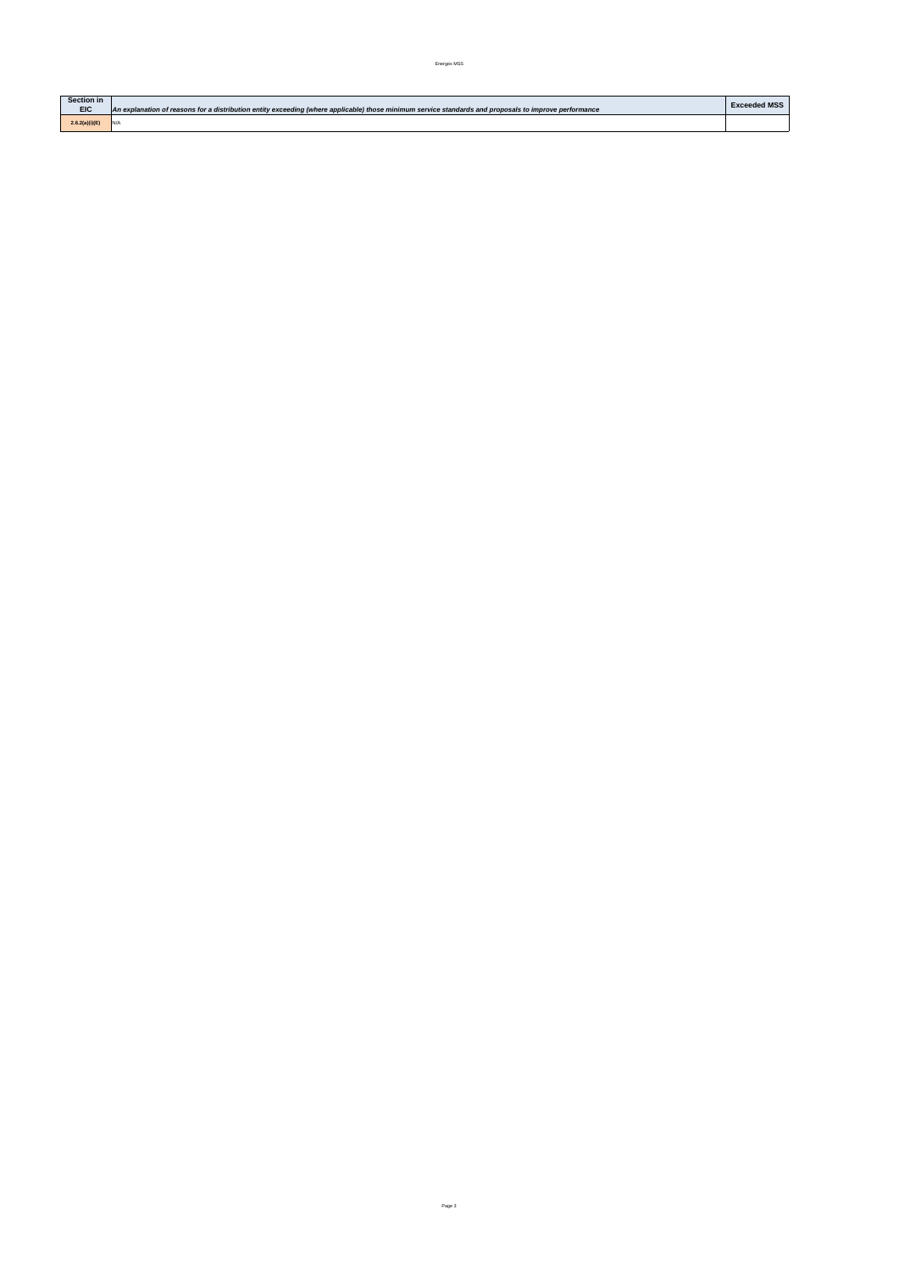| <b>Section in</b> |                                                                                                                                                       | <b>Exceeded MSS</b> |
|-------------------|-------------------------------------------------------------------------------------------------------------------------------------------------------|---------------------|
| <b>EIC</b>        | An explanation of reasons for a distribution entity exceeding (where applicable) those minimum service standards and proposals to improve performance |                     |
| 2.6.2(a)(i)(E)    |                                                                                                                                                       |                     |

Page 3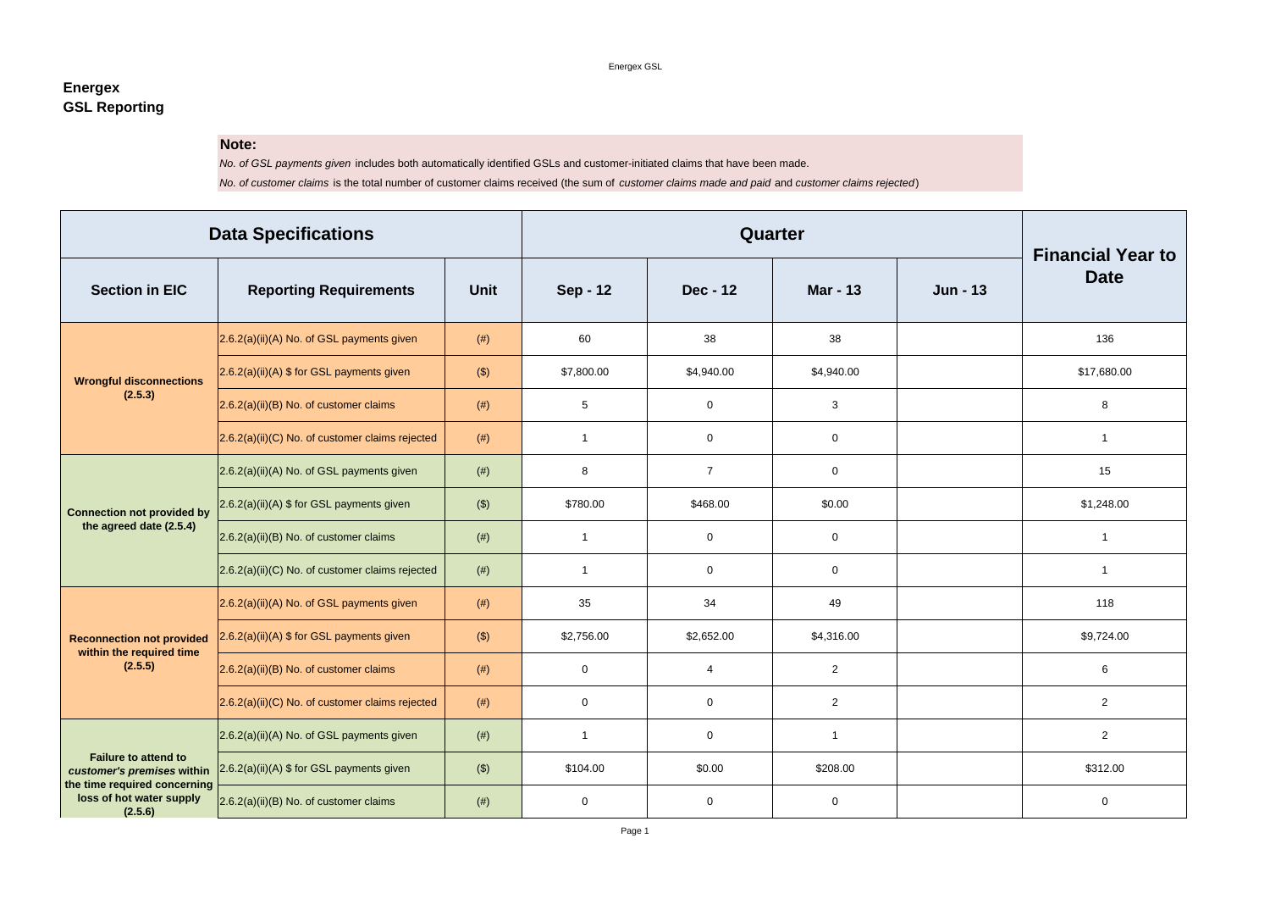## **Energex GSL Reporting**

## **Note:**

*No. of GSL payments given* includes both automatically identified GSLs and customer-initiated claims that have been made. *No. of customer claims* is the total number of customer claims received (the sum of *customer claims made and paid* and *customer claims rejected*)

| <b>Data Specifications</b>                                          |                                                    |             |                 | <b>Financial Year to</b> |                 |                 |                |  |
|---------------------------------------------------------------------|----------------------------------------------------|-------------|-----------------|--------------------------|-----------------|-----------------|----------------|--|
| <b>Section in EIC</b>                                               | <b>Reporting Requirements</b>                      | <b>Unit</b> | <b>Sep - 12</b> | <b>Dec - 12</b>          | <b>Mar - 13</b> | <b>Jun - 13</b> | <b>Date</b>    |  |
|                                                                     | $2.6.2(a)(ii)(A)$ No. of GSL payments given        | (# )        | 60              | 38                       | 38              |                 | 136            |  |
| <b>Wrongful disconnections</b>                                      | $2.6.2(a)(ii)(A)$ \$ for GSL payments given        | $(\$)$      | \$7,800.00      | \$4,940.00               | \$4,940.00      |                 | \$17,680.00    |  |
| (2.5.3)                                                             | $(2.6.2(a)(ii)(B)$ No. of customer claims          | (# )        | $5\phantom{.0}$ | $\mathbf 0$              | $\mathbf{3}$    |                 | 8              |  |
|                                                                     | $(2.6.2(a)(ii)(C)$ No. of customer claims rejected | (# )        | - 1             | $\mathbf 0$              | $\overline{0}$  |                 | $\mathbf{1}$   |  |
|                                                                     | $(2.6.2(a)(ii)(A)$ No. of GSL payments given       | (# )        | 8               | $\overline{7}$           | $\mathbf 0$     |                 | 15             |  |
| <b>Connection not provided by</b>                                   | 2.6.2(a)(ii)(A) \$ for GSL payments given          | $($ \$)     | \$780.00        | \$468.00                 | \$0.00          |                 | \$1,248.00     |  |
| the agreed date (2.5.4)                                             | $(2.6.2(a)(ii)(B)$ No. of customer claims          | (# )        | -1              | $\mathbf 0$              | $\mathbf 0$     |                 | 1              |  |
|                                                                     | $2.6.2(a)(ii)(C)$ No. of customer claims rejected  | (# )        | -1              | $\mathbf 0$              | $\overline{0}$  |                 | $\overline{1}$ |  |
|                                                                     | $2.6.2(a)(ii)(A)$ No. of GSL payments given        | (# )        | 35              | 34                       | 49              |                 | 118            |  |
| <b>Reconnection not provided</b>                                    | 2.6.2(a)(ii)(A) \$ for GSL payments given          | $(\$)$      | \$2,756.00      | \$2,652.00               | \$4,316.00      |                 | \$9,724.00     |  |
| within the required time<br>(2.5.5)                                 | $(2.6.2(a)(ii)(B)$ No. of customer claims          | (# )        | $\mathbf 0$     | 4                        | $\overline{2}$  |                 | 6              |  |
|                                                                     | $2.6.2(a)(ii)(C)$ No. of customer claims rejected  | (# )        | $\overline{0}$  | $\mathbf 0$              | $\overline{2}$  |                 | $\overline{2}$ |  |
|                                                                     | $2.6.2(a)(ii)(A)$ No. of GSL payments given        | (# )        | -1              | $\overline{0}$           |                 |                 | $\overline{2}$ |  |
| <b>Failure to attend to</b><br>customer's premises within           | 2.6.2(a)(ii)(A) \$ for GSL payments given          | $($ \$)     | \$104.00        | \$0.00                   | \$208.00        |                 | \$312.00       |  |
| the time required concerning<br>loss of hot water supply<br>(2.5.6) | $2.6.2(a)(ii)(B)$ No. of customer claims           | (# )        | $\mathbf 0$     | $\mathbf 0$              | $\mathbf 0$     |                 | $\mathbf 0$    |  |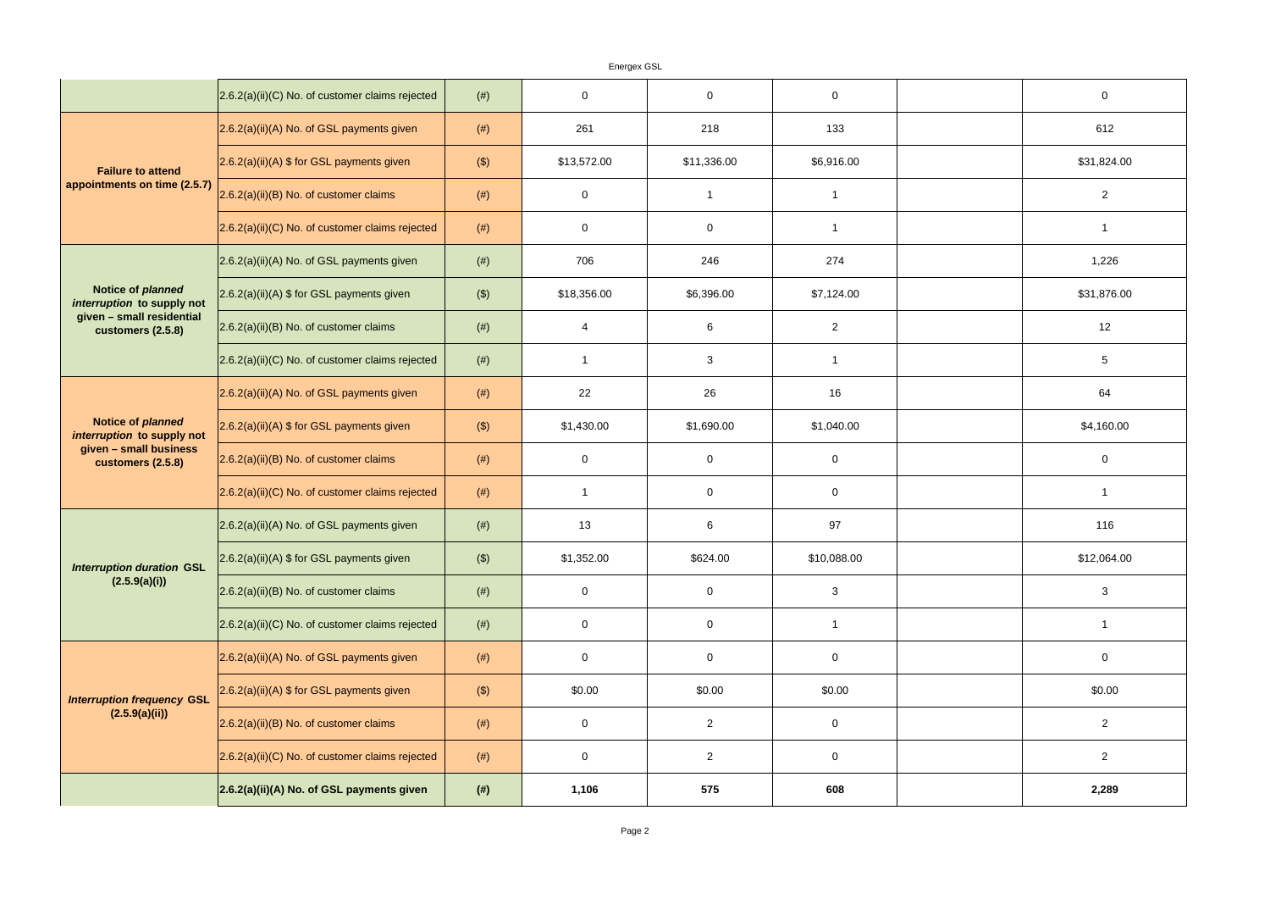Energex GSL 2.6.2(a)(ii)(C) No. of customer claims rejected (#) 0 0 0 0  $\vert$ 2.6.2(a)(ii)(A) No. of GSL payments given  $\vert$  (#) 261 | 218 | 218 | 133  $2.6.2(a)(ii)(A)$  \$ for GSL payments given  $($  (\$) \$13,572.00 \$11,336.00  $($  \$6,916.00  $2.6.2(a)(ii)(B)$  No. of customer claims  $(#)$   $(#)$  0 1 1 1 1  $2.6.2(a)(ii)(C)$  No. of customer claims rejected  $($   $#)$   $($   $)$  0 0  $($  0 0  $)$  1 1 1  $2.6.2(a)(ii)(A)$  No. of GSL payments given  $(#)$  (#) 706  $(2.6.2(a)(ii)(A)$  No. of GSL payments given  $(#)$  $2.6.2(a)(ii)(A)$  \$ for GSL payments given  $($  (\$) \$18,356.00 \$6,396.00  $($  \$7,124.00  $2.6.2(a)(ii)(B)$  No. of customer claims  $(#)$   $(#)$  4  $($  $\vert$ 2.6.2(a)(ii)(C) No. of customer claims rejected  $\vert$  (#)  $\vert$  1 1 3 3  $\vert$  1 1  $2.6.2(a)(ii)(A)$  No. of GSL payments given  $(#)$  (#) 22 26 26 16 2.6.2(a)(ii)(A) \$ for GSL payments given  $($  (\$) \$1,430.00 \$1,690.00 \$1,690.00  $\vert$  2.6.2(a)(ii)(B) No. of customer claims  $\vert$  (#)  $\vert$  0 0  $\vert$  0 0  $\vert$  0 0  $\vert$ 2.6.2(a)(ii)(C) No. of customer claims rejected  $\vert$  (#) 1 1 0 0  $\vert$  0 0  $\vert$  0  $|2.6.2(a)(ii)(A)$  No. of GSL payments given  $(#)$  (#) 13 13 6 | 97  $2.6.2(a)(ii)(A)$  \$ for GSL payments given  $($  (\$) \$1,352.00 \$624.00  $($  \$10,088.00  $\vert$  2.6.2(a)(ii)(B) No. of customer claims  $\vert$  (#)  $\vert$  0 0  $\vert$  0 0  $\vert$  3  $\vert$ 2.6.2(a)(ii)(C) No. of customer claims rejected  $\vert$  (#)  $\vert$  0 0  $\vert$  0 0 1 1 1  $\vert$ 2.6.2(a)(ii)(A) No. of GSL payments given  $\vert$  (#)  $\vert$  0 0 0 0 0  $\vert$  0 0  $2.6.2(a)(ii)(A)$  \$ for GSL payments given  $($   $($  \$)  $)$  \$0.00 \$0.00 \$0.00 \$0.00 \$0.00  $2.6.2(a)(ii)(B)$  No. of customer claims  $(#)$  (#) 0 0  $($  $\vert$ 2.6.2(a)(ii)(C) No. of customer claims rejected  $\vert$  (#)  $\vert$  0 0 0  $\vert$  2 0  $\vert$  0 0 **2.6.2(a)(ii)(A) No. of GSL payments given (#) 1,106 575 608 2,289 Failure to attend appointments on time (2.5.7)** *Interruption duration* **GSL (2.5.9(a)(i))** *Interruption frequency* **GSL (2.5.9(a)(ii)) Notice of** *planned interruption* **to supply not given – small business customers (2.5.8) Notice of** *planned interruption* **to supply not given – small residential customers (2.5.8)**

| $\mathbf 0$             |
|-------------------------|
| 612                     |
| \$31,824.00             |
| $\boldsymbol{2}$        |
| 1                       |
| 1,226                   |
| \$31,876.00             |
| 12                      |
| 5                       |
| 64                      |
| \$4,160.00              |
| $\mathbf 0$             |
| 1                       |
| 116                     |
| \$12,064.00             |
| 3                       |
| $\mathbf 1$             |
| $\mathbf 0$             |
| \$0.00                  |
| $\overline{\mathbf{c}}$ |
| $\overline{\mathbf{c}}$ |
| 2,289                   |